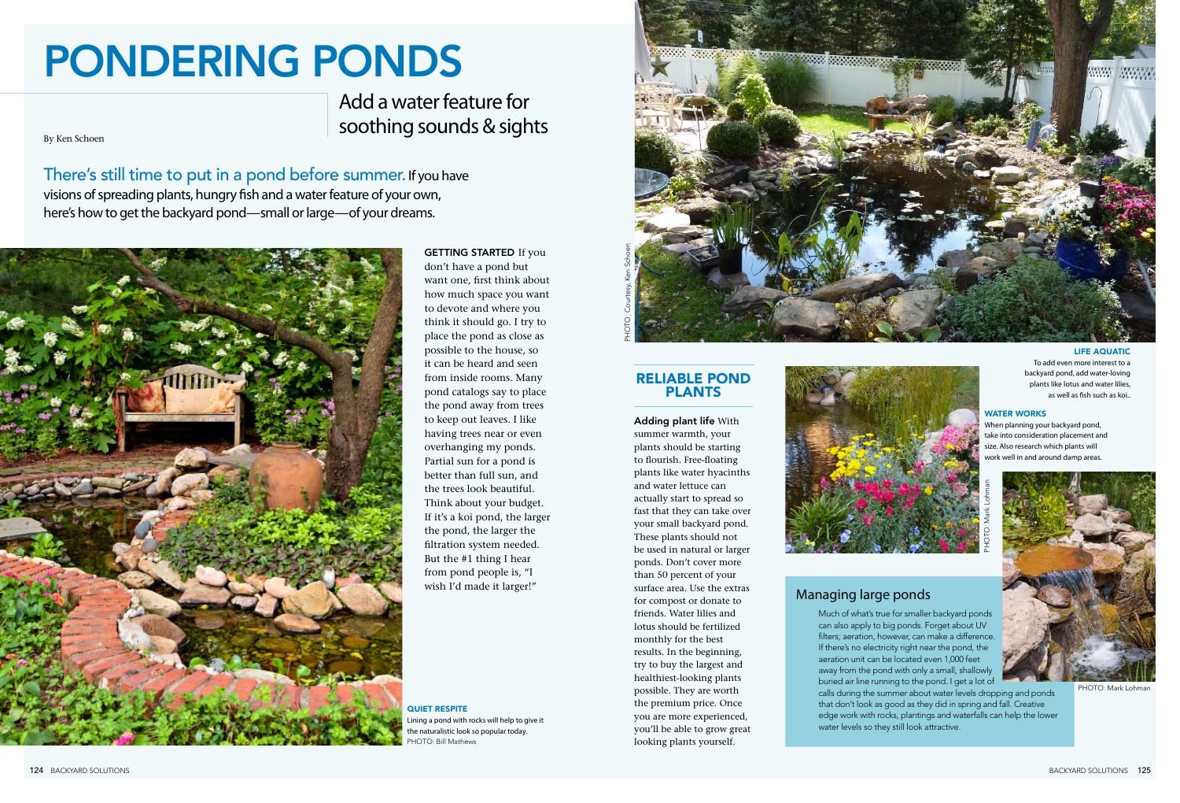By Ken Schoen

# PONDERING PONDS

Add a water feature for soothing sounds & sights

There's still time to put in a pond before summer. If you have visions of spreading plants, hungry fish and a water feature of your own, here's how to get the backyard pond—small or large—of your dreams.



**GETTING STARTED If you** don't have a pond but want one, first think about how much space you want to devote and where you think it should go. I try to place the pond as close as possible to the house, so it can be heard and seen from inside rooms. Many pond catalogs say to place the pond away from trees to keep out leaves. I like having trees near or even overhanging my ponds. Partial sun for a pond is better than full sun, and the trees look beautiful. Think about your budget. If it's a koi pond, the larger the pond, the larger the filtration system needed. But the #1 thing I hear from pond people is, "I

## Reliable Pond **PLANTS**

wish I'd made it larger!" surface area. Use the extras Managing large ponds Adding plant life With summer warmth, your plants should be starting to flourish. Free-floating plants like water hyacinths and water lettuce can actually start to spread so fast that they can take over your small backyard pond. These plants should not be used in natural or larger ponds. Don't cover more than 50 percent of your surface area. Use the extras for compost or donate to friends. Water lilies and lotus should be fertilized monthly for the best results. In the beginning, try to buy the largest and healthiest-looking plants possible. They are worth the premium price. Once you are more experienced, you'll be able to grow great looking plants yourself.

**HOTO: Bill Mathews** QUIET RESPITE Lining a pond with rocks will help to give it the naturalistic look so popular today.

Much of what's true for smaller backyard ponds can also apply to big ponds. Forget about UV filters; aeration, however, can make a difference. If there's no electricity right near the pond, the aeration unit can be located even 1,000 feet away from the pond with only a small, shallowly buried air line running to the pond. I get a lot of calls during the summer about water levels dropping and ponds that don't look as good as they did in spring and fall. Creative edge work with rocks, plantings and waterfalls can help the lower water levels so they still look attractive.

#### water works

When planning your backyard pond, take into consideration placement and size. Also research which plants will work well in and around damp areas.



#### life aquatic

To add even more interest to a backyard pond, add water-loving plants like lotus and water lilies, as well as fish such as koi..





PHOTO: Mark Lohman